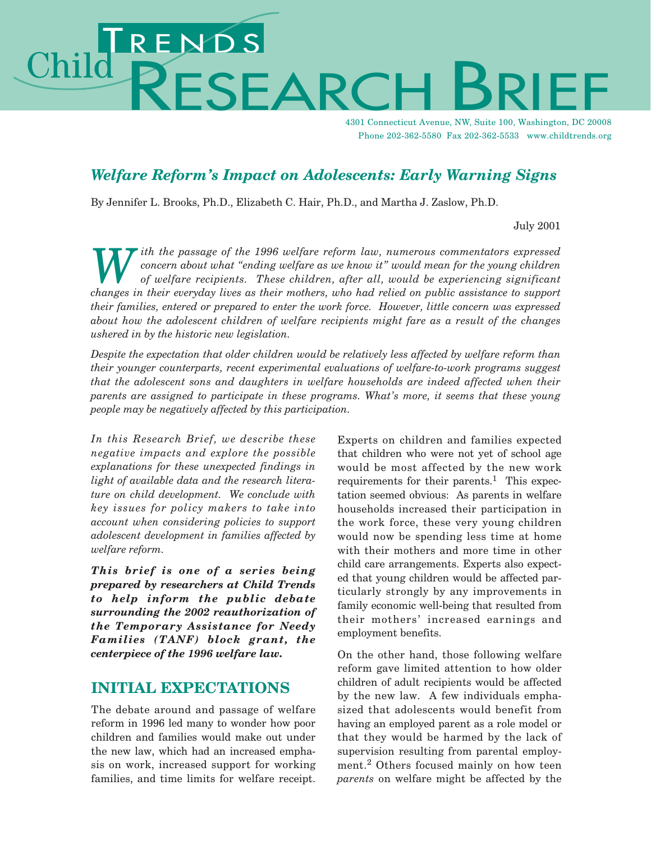# ENDS<br>FSFARC Chilc

4301 Connecticut Avenue, NW, Suite 100, Washington, DC 20008 Phone 202-362-5580 Fax 202-362-5533 www.childtrends.org

## *Welfare Reform's Impact on Adolescents: Early Warning Signs*

By Jennifer L. Brooks, Ph.D., Elizabeth C. Hair, Ph.D., and Martha J. Zaslow, Ph.D.

July 2001

*With the passage of the 1996 welfare reform law, numerous commentators expressed*<br>concern about what "ending welfare as we know it" would mean for the young children<br>of welfare recipients. These children, after all, would *concern about what "ending welfare as we know it" would mean for the young children of welfare recipients. These children, after all, would be experiencing significant changes in their everyday lives as their mothers, who had relied on public assistance to support their families, entered or prepared to enter the work force. However, little concern was expressed about how the adolescent children of welfare recipients might fare as a result of the changes ushered in by the historic new legislation.*

*Despite the expectation that older children would be relatively less affected by welfare reform than their younger counterparts, recent experimental evaluations of welfare-to-work programs suggest that the adolescent sons and daughters in welfare households are indeed affected when their parents are assigned to participate in these programs. What's more, it seems that these young people may be negatively affected by this participation.*

*In this Research Brief, we describe these negative impacts and explore the possible explanations for these unexpected findings in light of available data and the research literature on child development. We conclude with key issues for policy makers to take into account when considering policies to support adolescent development in families affected by welfare reform.*

*This brief is one of a series being prepared by researchers at Child Trends to help inform the public debate surrounding the 2002 reauthorization of the Temporary Assistance for Needy Families (TANF) block grant, the centerpiece of the 1996 welfare law.*

#### **INITIAL EXPECTATIONS**

The debate around and passage of welfare reform in 1996 led many to wonder how poor children and families would make out under the new law, which had an increased emphasis on work, increased support for working families, and time limits for welfare receipt.

Experts on children and families expected that children who were not yet of school age would be most affected by the new work requirements for their parents.<sup>1</sup> This expectation seemed obvious: As parents in welfare households increased their participation in the work force, these very young children would now be spending less time at home with their mothers and more time in other child care arrangements. Experts also expected that young children would be affected particularly strongly by any improvements in family economic well-being that resulted from their mothers' increased earnings and employment benefits.

On the other hand, those following welfare reform gave limited attention to how older children of adult recipients would be affected by the new law. A few individuals emphasized that adolescents would benefit from having an employed parent as a role model or that they would be harmed by the lack of supervision resulting from parental employment.<sup>2</sup> Others focused mainly on how teen *parents* on welfare might be affected by the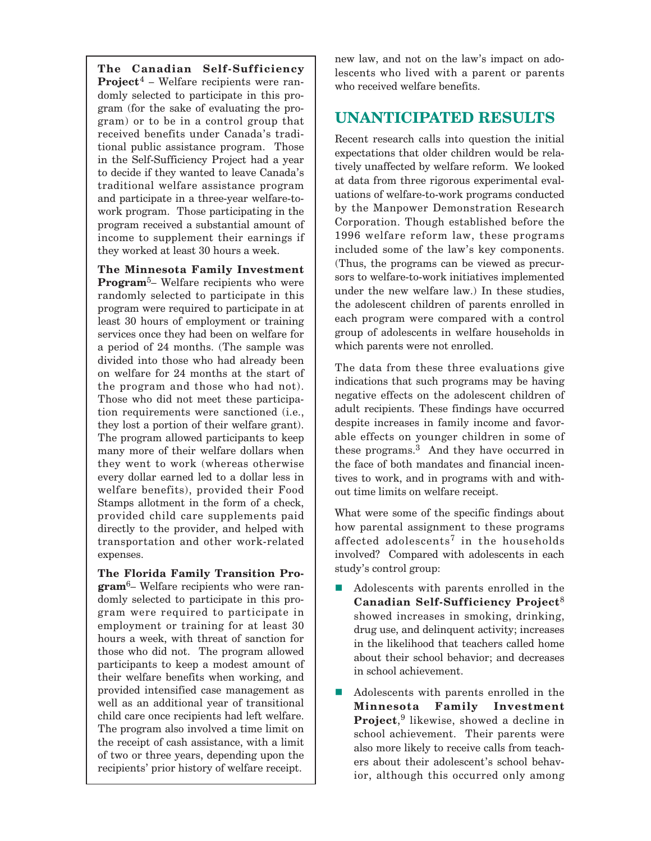**The Canadian Self-Sufficiency Project**<sup>4</sup> – Welfare recipients were randomly selected to participate in this program (for the sake of evaluating the program) or to be in a control group that received benefits under Canada's traditional public assistance program. Those in the Self-Sufficiency Project had a year to decide if they wanted to leave Canada's traditional welfare assistance program and participate in a three-year welfare-towork program. Those participating in the program received a substantial amount of income to supplement their earnings if they worked at least 30 hours a week.

**The Minnesota Family Investment Program**5– Welfare recipients who were randomly selected to participate in this program were required to participate in at least 30 hours of employment or training services once they had been on welfare for a period of 24 months. (The sample was divided into those who had already been on welfare for 24 months at the start of the program and those who had not). Those who did not meet these participation requirements were sanctioned (i.e., they lost a portion of their welfare grant). The program allowed participants to keep many more of their welfare dollars when they went to work (whereas otherwise every dollar earned led to a dollar less in welfare benefits), provided their Food Stamps allotment in the form of a check, provided child care supplements paid directly to the provider, and helped with transportation and other work-related expenses.

**The Florida Family Transition Program**6– Welfare recipients who were randomly selected to participate in this program were required to participate in employment or training for at least 30 hours a week, with threat of sanction for those who did not. The program allowed participants to keep a modest amount of their welfare benefits when working, and provided intensified case management as well as an additional year of transitional child care once recipients had left welfare. The program also involved a time limit on the receipt of cash assistance, with a limit of two or three years, depending upon the recipients' prior history of welfare receipt.

new law, and not on the law's impact on adolescents who lived with a parent or parents who received welfare benefits.

#### **UNANTICIPATED RESULTS**

Recent research calls into question the initial expectations that older children would be relatively unaffected by welfare reform. We looked at data from three rigorous experimental evaluations of welfare-to-work programs conducted by the Manpower Demonstration Research Corporation. Though established before the 1996 welfare reform law, these programs included some of the law's key components. (Thus, the programs can be viewed as precursors to welfare-to-work initiatives implemented under the new welfare law.) In these studies, the adolescent children of parents enrolled in each program were compared with a control group of adolescents in welfare households in which parents were not enrolled.

The data from these three evaluations give indications that such programs may be having negative effects on the adolescent children of adult recipients. These findings have occurred despite increases in family income and favorable effects on younger children in some of these programs.<sup>3</sup> And they have occurred in the face of both mandates and financial incentives to work, and in programs with and without time limits on welfare receipt.

What were some of the specific findings about how parental assignment to these programs affected adolescents<sup>7</sup> in the households involved? Compared with adolescents in each study's control group:

- - Adolescents with parents enrolled in the **Canadian Self-Sufficiency Project**<sup>8</sup> showed increases in smoking, drinking, drug use, and delinquent activity; increases in the likelihood that teachers called home about their school behavior; and decreases in school achievement.
- - Adolescents with parents enrolled in the **Minnesota Family Investment Project**, <sup>9</sup> likewise, showed a decline in school achievement. Their parents were also more likely to receive calls from teachers about their adolescent's school behavior, although this occurred only among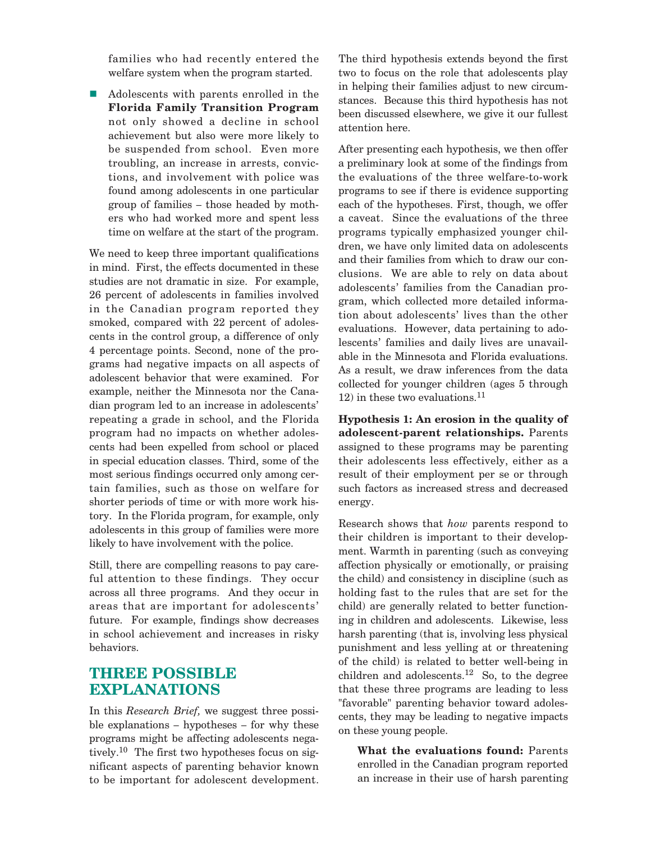families who had recently entered the welfare system when the program started.

■ Adolescents with parents enrolled in the **Florida Family Transition Program** not only showed a decline in school achievement but also were more likely to be suspended from school. Even more troubling, an increase in arrests, convictions, and involvement with police was found among adolescents in one particular group of families – those headed by mothers who had worked more and spent less time on welfare at the start of the program.

We need to keep three important qualifications in mind. First, the effects documented in these studies are not dramatic in size. For example, 26 percent of adolescents in families involved in the Canadian program reported they smoked, compared with 22 percent of adolescents in the control group, a difference of only 4 percentage points. Second, none of the programs had negative impacts on all aspects of adolescent behavior that were examined. For example, neither the Minnesota nor the Canadian program led to an increase in adolescents' repeating a grade in school, and the Florida program had no impacts on whether adolescents had been expelled from school or placed in special education classes. Third, some of the most serious findings occurred only among certain families, such as those on welfare for shorter periods of time or with more work history. In the Florida program, for example, only adolescents in this group of families were more likely to have involvement with the police.

Still, there are compelling reasons to pay careful attention to these findings. They occur across all three programs. And they occur in areas that are important for adolescents' future. For example, findings show decreases in school achievement and increases in risky behaviors.

#### **THREE POSSIBLE EXPLANATIONS**

In this *Research Brief,* we suggest three possible explanations – hypotheses – for why these programs might be affecting adolescents negatively.<sup>10</sup> The first two hypotheses focus on significant aspects of parenting behavior known to be important for adolescent development. The third hypothesis extends beyond the first two to focus on the role that adolescents play in helping their families adjust to new circumstances. Because this third hypothesis has not been discussed elsewhere, we give it our fullest attention here.

After presenting each hypothesis, we then offer a preliminary look at some of the findings from the evaluations of the three welfare-to-work programs to see if there is evidence supporting each of the hypotheses. First, though, we offer a caveat. Since the evaluations of the three programs typically emphasized younger children, we have only limited data on adolescents and their families from which to draw our conclusions. We are able to rely on data about adolescents' families from the Canadian program, which collected more detailed information about adolescents' lives than the other evaluations. However, data pertaining to adolescents' families and daily lives are unavailable in the Minnesota and Florida evaluations. As a result, we draw inferences from the data collected for younger children (ages 5 through  $12$ ) in these two evaluations.<sup>11</sup>

**Hypothesis 1: An erosion in the quality of adolescent-parent relationships.** Parents assigned to these programs may be parenting their adolescents less effectively, either as a result of their employment per se or through such factors as increased stress and decreased energy.

Research shows that *how* parents respond to their children is important to their development. Warmth in parenting (such as conveying affection physically or emotionally, or praising the child) and consistency in discipline (such as holding fast to the rules that are set for the child) are generally related to better functioning in children and adolescents. Likewise, less harsh parenting (that is, involving less physical punishment and less yelling at or threatening of the child) is related to better well-being in children and adolescents.<sup>12</sup> So, to the degree that these three programs are leading to less "favorable" parenting behavior toward adolescents, they may be leading to negative impacts on these young people.

**What the evaluations found:** Parents enrolled in the Canadian program reported an increase in their use of harsh parenting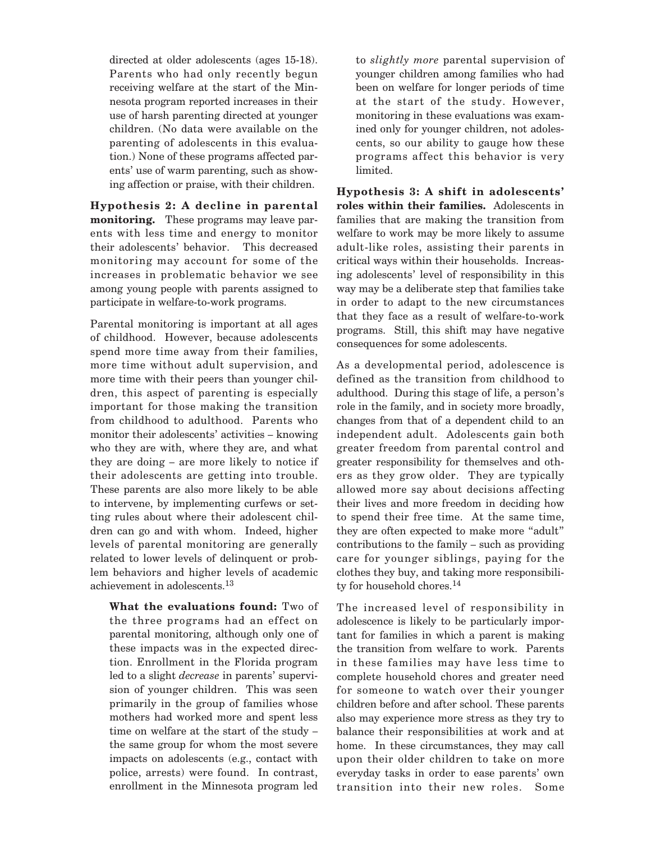directed at older adolescents (ages 15-18). Parents who had only recently begun receiving welfare at the start of the Minnesota program reported increases in their use of harsh parenting directed at younger children. (No data were available on the parenting of adolescents in this evaluation.) None of these programs affected parents' use of warm parenting, such as showing affection or praise, with their children.

**Hypothesis 2: A decline in parental monitoring.** These programs may leave parents with less time and energy to monitor their adolescents' behavior. This decreased monitoring may account for some of the increases in problematic behavior we see among young people with parents assigned to participate in welfare-to-work programs.

Parental monitoring is important at all ages of childhood. However, because adolescents spend more time away from their families, more time without adult supervision, and more time with their peers than younger children, this aspect of parenting is especially important for those making the transition from childhood to adulthood. Parents who monitor their adolescents' activities – knowing who they are with, where they are, and what they are doing – are more likely to notice if their adolescents are getting into trouble. These parents are also more likely to be able to intervene, by implementing curfews or setting rules about where their adolescent children can go and with whom. Indeed, higher levels of parental monitoring are generally related to lower levels of delinquent or problem behaviors and higher levels of academic achievement in adolescents.13

**What the evaluations found:** Two of the three programs had an effect on parental monitoring, although only one of these impacts was in the expected direction. Enrollment in the Florida program led to a slight *decrease* in parents' supervision of younger children. This was seen primarily in the group of families whose mothers had worked more and spent less time on welfare at the start of the study – the same group for whom the most severe impacts on adolescents (e.g., contact with police, arrests) were found. In contrast, enrollment in the Minnesota program led to *slightly more* parental supervision of younger children among families who had been on welfare for longer periods of time at the start of the study. However, monitoring in these evaluations was examined only for younger children, not adolescents, so our ability to gauge how these programs affect this behavior is very limited.

**Hypothesis 3: A shift in adolescents' roles within their families.** Adolescents in families that are making the transition from welfare to work may be more likely to assume adult-like roles, assisting their parents in critical ways within their households. Increasing adolescents' level of responsibility in this way may be a deliberate step that families take in order to adapt to the new circumstances that they face as a result of welfare-to-work programs. Still, this shift may have negative consequences for some adolescents.

As a developmental period, adolescence is defined as the transition from childhood to adulthood. During this stage of life, a person's role in the family, and in society more broadly, changes from that of a dependent child to an independent adult. Adolescents gain both greater freedom from parental control and greater responsibility for themselves and others as they grow older. They are typically allowed more say about decisions affecting their lives and more freedom in deciding how to spend their free time. At the same time, they are often expected to make more "adult" contributions to the family – such as providing care for younger siblings, paying for the clothes they buy, and taking more responsibility for household chores.<sup>14</sup>

The increased level of responsibility in adolescence is likely to be particularly important for families in which a parent is making the transition from welfare to work. Parents in these families may have less time to complete household chores and greater need for someone to watch over their younger children before and after school. These parents also may experience more stress as they try to balance their responsibilities at work and at home. In these circumstances, they may call upon their older children to take on more everyday tasks in order to ease parents' own transition into their new roles. Some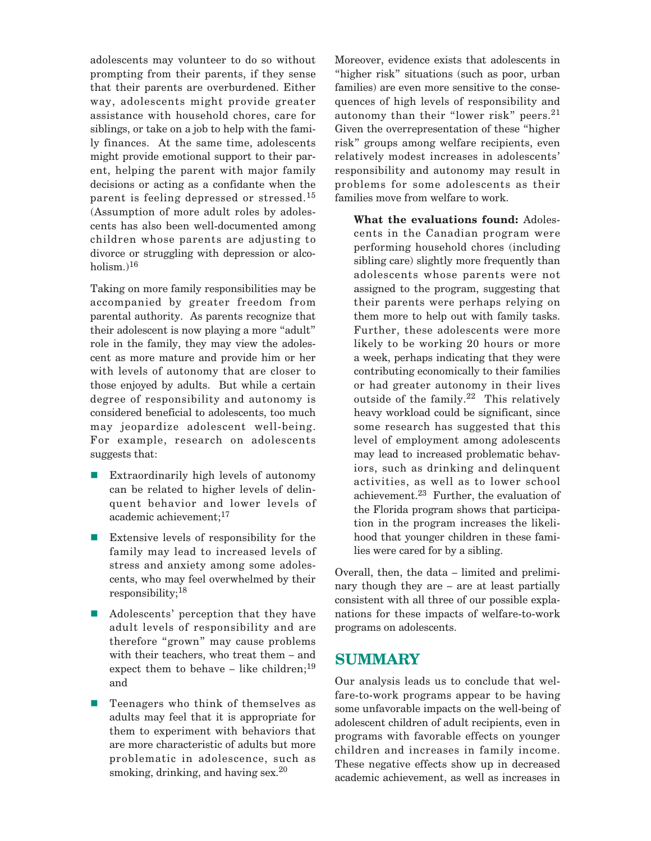adolescents may volunteer to do so without prompting from their parents, if they sense that their parents are overburdened. Either way, adolescents might provide greater assistance with household chores, care for siblings, or take on a job to help with the family finances. At the same time, adolescents might provide emotional support to their parent, helping the parent with major family decisions or acting as a confidante when the parent is feeling depressed or stressed.<sup>15</sup> (Assumption of more adult roles by adolescents has also been well-documented among children whose parents are adjusting to divorce or struggling with depression or alcoholism. $)^{16}$ 

Taking on more family responsibilities may be accompanied by greater freedom from parental authority. As parents recognize that their adolescent is now playing a more "adult" role in the family, they may view the adolescent as more mature and provide him or her with levels of autonomy that are closer to those enjoyed by adults. But while a certain degree of responsibility and autonomy is considered beneficial to adolescents, too much may jeopardize adolescent well-being. For example, research on adolescents suggests that:

- - Extraordinarily high levels of autonomy can be related to higher levels of delinquent behavior and lower levels of academic achievement;17
- Extensive levels of responsibility for the family may lead to increased levels of stress and anxiety among some adolescents, who may feel overwhelmed by their responsibility;18
- - Adolescents' perception that they have adult levels of responsibility and are therefore "grown" may cause problems with their teachers, who treat them – and expect them to behave – like children;<sup>19</sup> and
- - Teenagers who think of themselves as adults may feel that it is appropriate for them to experiment with behaviors that are more characteristic of adults but more problematic in adolescence, such as smoking, drinking, and having sex. $^{20}$

Moreover, evidence exists that adolescents in "higher risk" situations (such as poor, urban families) are even more sensitive to the consequences of high levels of responsibility and autonomy than their "lower risk" peers.<sup>21</sup> Given the overrepresentation of these "higher risk" groups among welfare recipients, even relatively modest increases in adolescents' responsibility and autonomy may result in problems for some adolescents as their families move from welfare to work.

**What the evaluations found:** Adolescents in the Canadian program were performing household chores (including sibling care) slightly more frequently than adolescents whose parents were not assigned to the program, suggesting that their parents were perhaps relying on them more to help out with family tasks. Further, these adolescents were more likely to be working 20 hours or more a week, perhaps indicating that they were contributing economically to their families or had greater autonomy in their lives outside of the family.<sup>22</sup> This relatively heavy workload could be significant, since some research has suggested that this level of employment among adolescents may lead to increased problematic behaviors, such as drinking and delinquent activities, as well as to lower school achievement.<sup>23</sup> Further, the evaluation of the Florida program shows that participation in the program increases the likelihood that younger children in these families were cared for by a sibling.

Overall, then, the data – limited and preliminary though they are – are at least partially consistent with all three of our possible explanations for these impacts of welfare-to-work programs on adolescents.

#### **SUMMARY**

Our analysis leads us to conclude that welfare-to-work programs appear to be having some unfavorable impacts on the well-being of adolescent children of adult recipients, even in programs with favorable effects on younger children and increases in family income. These negative effects show up in decreased academic achievement, as well as increases in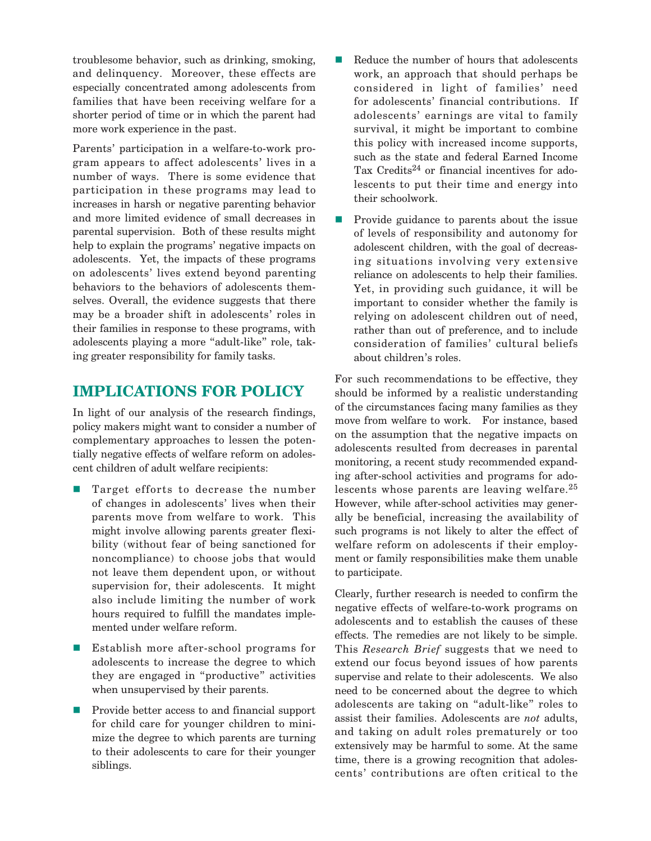troublesome behavior, such as drinking, smoking, and delinquency. Moreover, these effects are especially concentrated among adolescents from families that have been receiving welfare for a shorter period of time or in which the parent had more work experience in the past.

Parents' participation in a welfare-to-work program appears to affect adolescents' lives in a number of ways. There is some evidence that participation in these programs may lead to increases in harsh or negative parenting behavior and more limited evidence of small decreases in parental supervision. Both of these results might help to explain the programs' negative impacts on adolescents. Yet, the impacts of these programs on adolescents' lives extend beyond parenting behaviors to the behaviors of adolescents themselves. Overall, the evidence suggests that there may be a broader shift in adolescents' roles in their families in response to these programs, with adolescents playing a more "adult-like" role, taking greater responsibility for family tasks.

### **IMPLICATIONS FOR POLICY**

In light of our analysis of the research findings, policy makers might want to consider a number of complementary approaches to lessen the potentially negative effects of welfare reform on adolescent children of adult welfare recipients:

- - Target efforts to decrease the number of changes in adolescents' lives when their parents move from welfare to work. This might involve allowing parents greater flexibility (without fear of being sanctioned for noncompliance) to choose jobs that would not leave them dependent upon, or without supervision for, their adolescents. It might also include limiting the number of work hours required to fulfill the mandates implemented under welfare reform.
- - Establish more after-school programs for adolescents to increase the degree to which they are engaged in "productive" activities when unsupervised by their parents.
- - Provide better access to and financial support for child care for younger children to minimize the degree to which parents are turning to their adolescents to care for their younger siblings.
- - Reduce the number of hours that adolescents work, an approach that should perhaps be considered in light of families' need for adolescents' financial contributions. If adolescents' earnings are vital to family survival, it might be important to combine this policy with increased income supports, such as the state and federal Earned Income Tax Credits<sup>24</sup> or financial incentives for adolescents to put their time and energy into their schoolwork.
- - Provide guidance to parents about the issue of levels of responsibility and autonomy for adolescent children, with the goal of decreasing situations involving very extensive reliance on adolescents to help their families. Yet, in providing such guidance, it will be important to consider whether the family is relying on adolescent children out of need, rather than out of preference, and to include consideration of families' cultural beliefs about children's roles.

For such recommendations to be effective, they should be informed by a realistic understanding of the circumstances facing many families as they move from welfare to work. For instance, based on the assumption that the negative impacts on adolescents resulted from decreases in parental monitoring, a recent study recommended expanding after-school activities and programs for adolescents whose parents are leaving welfare.<sup>25</sup> However, while after-school activities may generally be beneficial, increasing the availability of such programs is not likely to alter the effect of welfare reform on adolescents if their employment or family responsibilities make them unable to participate.

Clearly, further research is needed to confirm the negative effects of welfare-to-work programs on adolescents and to establish the causes of these effects. The remedies are not likely to be simple. This *Research Brief* suggests that we need to extend our focus beyond issues of how parents supervise and relate to their adolescents. We also need to be concerned about the degree to which adolescents are taking on "adult-like" roles to assist their families. Adolescents are *not* adults, and taking on adult roles prematurely or too extensively may be harmful to some. At the same time, there is a growing recognition that adolescents' contributions are often critical to the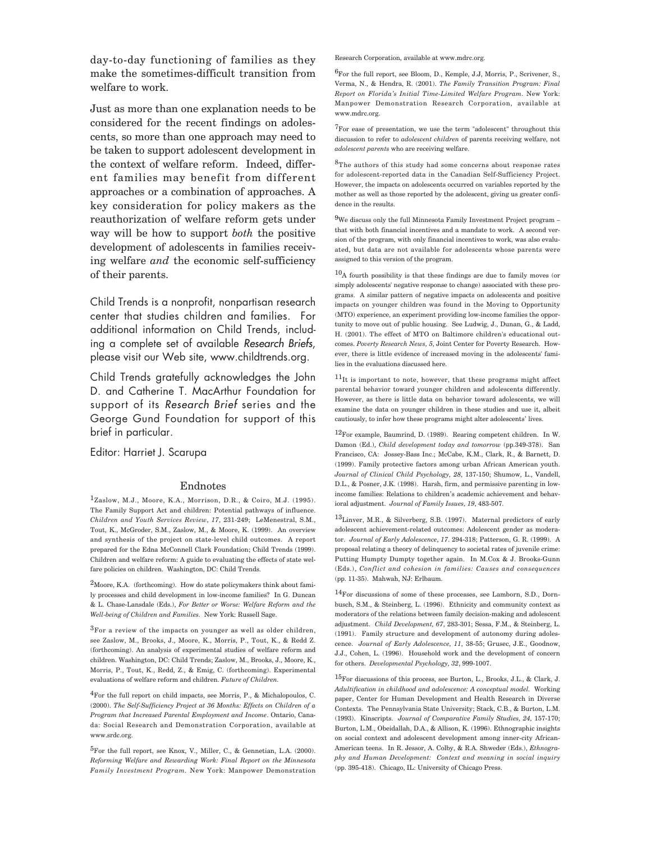day-to-day functioning of families as they make the sometimes-difficult transition from welfare to work.

Just as more than one explanation needs to be considered for the recent findings on adolescents, so more than one approach may need to be taken to support adolescent development in the context of welfare reform. Indeed, different families may benefit from different approaches or a combination of approaches. A key consideration for policy makers as the reauthorization of welfare reform gets under way will be how to support *both* the positive development of adolescents in families receiving welfare *and* the economic self-sufficiency of their parents.

Child Trends is a nonprofit, nonpartisan research center that studies children and families. For additional information on Child Trends, including a complete set of available *Research Briefs*, please visit our Web site, www.childtrends.org.

Child Trends gratefully acknowledges the John D. and Catherine T. MacArthur Foundation for support of its *Research Brief* series and the George Gund Foundation for support of this brief in particular.

Editor: Harriet J. Scarupa

Endnotes<br><sup>1</sup>Zaslow, M.J., Moore, K.A., Morrison, D.R., & Coiro, M.J. (1995). The Family Support Act and children: Potential pathways of influence. *Children and Youth Services Review*, *17*, 231-249; LeMenestral, S.M., Tout, K., McGroder, S.M., Zaslow, M., & Moore, K. (1999). An overview and synthesis of the project on state-level child outcomes. A report prepared for the Edna McConnell Clark Foundation; Child Trends (1999). Children and welfare reform: A guide to evaluating the effects of state welfare policies on children. Washington, DC: Child Trends.

 $2$ Moore, K.A. (forthcoming). How do state policymakers think about family processes and child development in low-income families? In G. Duncan & L. Chase-Lansdale (Eds.), *For Better or Worse: Welfare Reform and the Well-being of Children and Families.* New York: Russell Sage.

3For a review of the impacts on younger as well as older children, see Zaslow, M., Brooks, J., Moore, K., Morris, P., Tout, K., & Redd Z. (forthcoming). An analysis of experimental studies of welfare reform and children. Washington, DC: Child Trends; Zaslow, M., Brooks, J., Moore, K., Morris, P., Tout, K., Redd, Z., & Emig, C. (forthcoming). Experimental evaluations of welfare reform and children. *Future of Children.*

4For the full report on child impacts, see Morris, P., & Michalopoulos, C. (2000). *The Self-Sufficiency Project at 36 Months: Effects on Children of a Program that Increased Parental Employment and Income*. Ontario, Canada: Social Research and Demonstration Corporation, available at www.srdc.org.

 ${}^{5}$ For the full report, see Knox, V., Miller, C., & Gennetian, L.A. (2000). *Reforming Welfare and Rewarding Work: Final Report on the Minnesota Family Investment Program.* New York: Manpower Demonstration Research Corporation, available at www.mdrc.org.

6For the full report, see Bloom, D., Kemple, J.J, Morris, P., Scrivener, S., Verma, N., & Hendra, R. (2001). *The Family Transition Program: Final Report on Florida's Initial Time-Limited Welfare Program.* New York: Manpower Demonstration Research Corporation, available at www.mdrc.org.

 ${\rm ^7}For$  ease of presentation, we use the term "adolescent" throughout this discussion to refer to *adolescent children* of parents receiving welfare, not *adolescent parents* who are receiving welfare.

8The authors of this study had some concerns about response rates for adolescent-reported data in the Canadian Self-Sufficiency Project. However, the impacts on adolescents occurred on variables reported by the mother as well as those reported by the adolescent, giving us greater confidence in the results.

 $^{9}$  We discuss only the full Minnesota Family Investment Project program – that with both financial incentives and a mandate to work. A second version of the program, with only financial incentives to work, was also evaluated, but data are not available for adolescents whose parents were assigned to this version of the program.

10A fourth possibility is that these findings are due to family moves (or simply adolescents' negative response to change) associated with these programs. A similar pattern of negative impacts on adolescents and positive impacts on younger children was found in the Moving to Opportunity (MTO) experience, an experiment providing low-income families the opportunity to move out of public housing. See Ludwig, J., Dunan, G., & Ladd, H. (2001). The effect of MTO on Baltimore children's educational outcomes. *Poverty Research News, 5*, Joint Center for Poverty Research. However, there is little evidence of increased moving in the adolescents' families in the evaluations discussed here.

 $11$ It is important to note, however, that these programs might affect parental behavior toward younger children and adolescents differently. However, as there is little data on behavior toward adolescents, we will examine the data on younger children in these studies and use it, albeit cautiously, to infer how these programs might alter adolescents' lives.

12For example, Baumrind, D. (1989). Rearing competent children. In W. Damon (Ed.), *Child development today and tomorrow* (pp.349-378). San Francisco, CA: Jossey-Bass Inc.; McCabe, K.M., Clark, R., & Barnett, D. (1999). Family protective factors among urban African American youth. *Journal of Clinical Child Psychology, 28*, 137-150; Shumow, L., Vandell, D.L., & Posner, J.K. (1998). Harsh, firm, and permissive parenting in lowincome families: Relations to children's academic achievement and behavioral adjustment. *Journal of Family Issues, 19*, 483-507.

13Linver, M.R., & Silverberg, S.B. (1997). Maternal predictors of early adolescent achievement-related outcomes: Adolescent gender as moderator. *Journal of Early Adolescence*, *17*. 294-318; Patterson, G. R. (1999). A proposal relating a theory of delinquency to societal rates of juvenile crime: Putting Humpty Dumpty together again. In M.Cox & J. Brooks-Gunn (Eds.), *Conflict and cohesion in families: Causes and consequences*  (pp. 11-35). Mahwah, NJ: Erlbaum.

14For discussions of some of these processes, see Lamborn, S.D., Dornbusch, S.M., & Steinberg, L. (1996). Ethnicity and community context as moderators of the relations between family decision-making and adolescent adjustment. *Child Development, 67*, 283-301; Sessa, F.M., & Steinberg, L. (1991). Family structure and development of autonomy during adolescence. *Journal of Early Adolescence, 11*, 38-55; Grusec, J.E., Goodnow, J.J., Cohen, L. (1996). Household work and the development of concern for others. *Developmental Psychology, 32*, 999-1007.

 $15$ For discussions of this process, see Burton, L., Brooks, J.L., & Clark, J. *Adultification in childhood and adolescence: A conceptual model.* Working paper, Center for Human Development and Health Research in Diverse Contexts. The Pennsylvania State University; Stack, C.B., & Burton, L.M. (1993). Kinscripts. *Journal of Comparative Family Studies, 24,* 157-170; Burton, L.M., Obeidallah, D.A., & Allison, K. (1996). Ethnographic insights on social context and adolescent development among inner-city African-American teens. In R. Jessor, A. Colby, & R.A. Shweder (Eds.), *Ethnography and Human Development: Context and meaning in social inquiry* (pp. 395-418). Chicago, IL: University of Chicago Press.